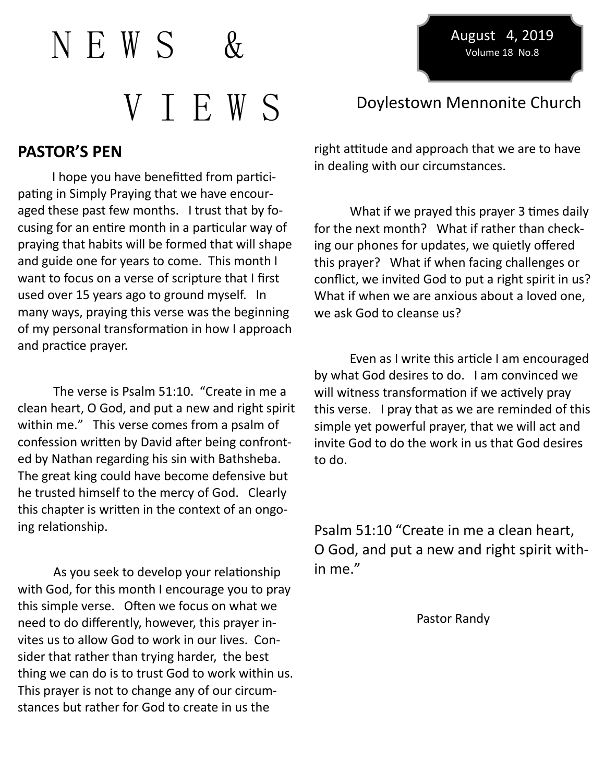$N$  F. W S V T E W S Doylestown Mennonite Church

August 4, 2019 Volume 18 No.8

## **PASTOR'S PEN**

 I hope you have benefitted from participating in Simply Praying that we have encouraged these past few months. I trust that by focusing for an entire month in a particular way of praying that habits will be formed that will shape and guide one for years to come. This month I want to focus on a verse of scripture that I first used over 15 years ago to ground myself. In many ways, praying this verse was the beginning of my personal transformation in how I approach and practice prayer.

The verse is Psalm 51:10. "Create in me a clean heart, O God, and put a new and right spirit within me." This verse comes from a psalm of confession written by David after being confronted by Nathan regarding his sin with Bathsheba. The great king could have become defensive but he trusted himself to the mercy of God. Clearly this chapter is written in the context of an ongoing relationship.

As you seek to develop your relationship with God, for this month I encourage you to pray this simple verse. Often we focus on what we need to do differently, however, this prayer invites us to allow God to work in our lives. Consider that rather than trying harder, the best thing we can do is to trust God to work within us. This prayer is not to change any of our circumstances but rather for God to create in us the

right attitude and approach that we are to have in dealing with our circumstances.

What if we prayed this prayer 3 times daily for the next month? What if rather than checking our phones for updates, we quietly offered this prayer? What if when facing challenges or conflict, we invited God to put a right spirit in us? What if when we are anxious about a loved one, we ask God to cleanse us?

Even as I write this article I am encouraged by what God desires to do. I am convinced we will witness transformation if we actively pray this verse. I pray that as we are reminded of this simple yet powerful prayer, that we will act and invite God to do the work in us that God desires to do.

Psalm 51:10 "Create in me a clean heart, O God, and put a new and right spirit within me."

Pastor Randy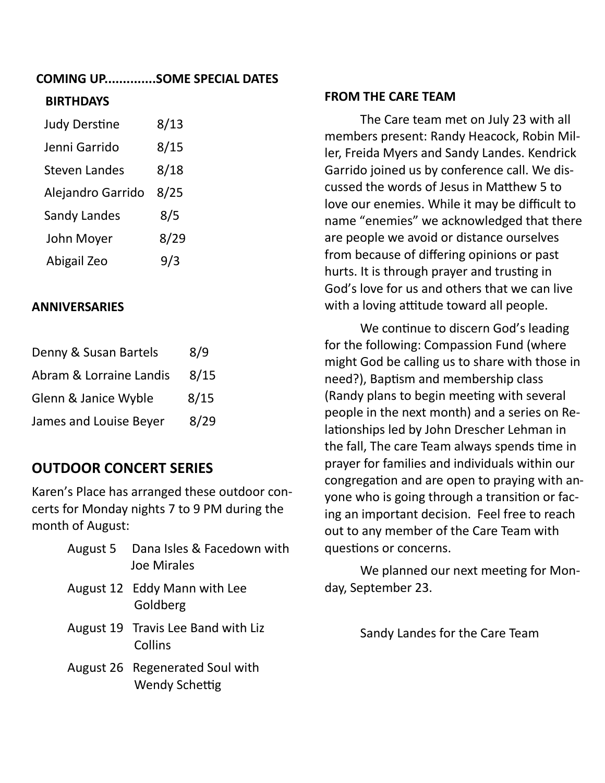## **COMING UP..............SOME SPECIAL DATES**

### **BIRTHDAYS**

| <b>Judy Derstine</b> | 8/13 |
|----------------------|------|
| Jenni Garrido        | 8/15 |
| <b>Steven Landes</b> | 8/18 |
| Alejandro Garrido    | 8/25 |
| Sandy Landes         | 8/5  |
| John Moyer           | 8/29 |
| Abigail Zeo          | 973  |

#### **ANNIVERSARIES**

| Denny & Susan Bartels   | 8/9  |
|-------------------------|------|
| Abram & Lorraine Landis | 8/15 |
| Glenn & Janice Wyble    | 8/15 |
| James and Louise Beyer  | 8/29 |

## **OUTDOOR CONCERT SERIES**

Karen's Place has arranged these outdoor concerts for Monday nights 7 to 9 PM during the month of August:

| August 5 Dana Isles & Facedown with<br>Joe Mirales       |
|----------------------------------------------------------|
| August 12 Eddy Mann with Lee<br>Goldberg                 |
| August 19 Travis Lee Band with Liz<br>Collins            |
| August 26 Regenerated Soul with<br><b>Wendy Schettig</b> |

#### **FROM THE CARE TEAM**

The Care team met on July 23 with all members present: Randy Heacock, Robin Miller, Freida Myers and Sandy Landes. Kendrick Garrido joined us by conference call. We discussed the words of Jesus in Matthew 5 to love our enemies. While it may be difficult to name "enemies" we acknowledged that there are people we avoid or distance ourselves from because of differing opinions or past hurts. It is through prayer and trusting in God's love for us and others that we can live with a loving attitude toward all people.

We continue to discern God's leading for the following: Compassion Fund (where might God be calling us to share with those in need?), Baptism and membership class (Randy plans to begin meeting with several people in the next month) and a series on Relationships led by John Drescher Lehman in the fall, The care Team always spends time in prayer for families and individuals within our congregation and are open to praying with anyone who is going through a transition or facing an important decision. Feel free to reach out to any member of the Care Team with questions or concerns.

We planned our next meeting for Monday, September 23.

Sandy Landes for the Care Team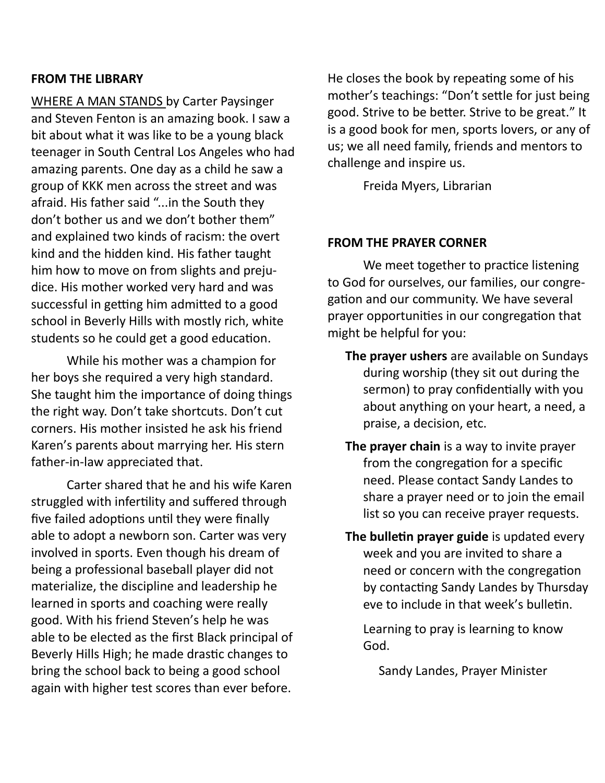#### **FROM THE LIBRARY**

WHERE A MAN STANDS by Carter Paysinger and Steven Fenton is an amazing book. I saw a bit about what it was like to be a young black teenager in South Central Los Angeles who had amazing parents. One day as a child he saw a group of KKK men across the street and was afraid. His father said "...in the South they don't bother us and we don't bother them" and explained two kinds of racism: the overt kind and the hidden kind. His father taught him how to move on from slights and prejudice. His mother worked very hard and was successful in getting him admitted to a good school in Beverly Hills with mostly rich, white students so he could get a good education.

While his mother was a champion for her boys she required a very high standard. She taught him the importance of doing things the right way. Don't take shortcuts. Don't cut corners. His mother insisted he ask his friend Karen's parents about marrying her. His stern father-in-law appreciated that.

Carter shared that he and his wife Karen struggled with infertility and suffered through five failed adoptions until they were finally able to adopt a newborn son. Carter was very involved in sports. Even though his dream of being a professional baseball player did not materialize, the discipline and leadership he learned in sports and coaching were really good. With his friend Steven's help he was able to be elected as the first Black principal of Beverly Hills High; he made drastic changes to bring the school back to being a good school again with higher test scores than ever before.

He closes the book by repeating some of his mother's teachings: "Don't settle for just being good. Strive to be better. Strive to be great." It is a good book for men, sports lovers, or any of us; we all need family, friends and mentors to challenge and inspire us.

Freida Myers, Librarian

#### **FROM THE PRAYER CORNER**

We meet together to practice listening to God for ourselves, our families, our congregation and our community. We have several prayer opportunities in our congregation that might be helpful for you:

- **The prayer ushers** are available on Sundays during worship (they sit out during the sermon) to pray confidentially with you about anything on your heart, a need, a praise, a decision, etc.
- **The prayer chain** is a way to invite prayer from the congregation for a specific need. Please contact Sandy Landes to share a prayer need or to join the email list so you can receive prayer requests.
- **The bulletin prayer guide** is updated every week and you are invited to share a need or concern with the congregation by contacting Sandy Landes by Thursday eve to include in that week's bulletin.

Learning to pray is learning to know God.

Sandy Landes, Prayer Minister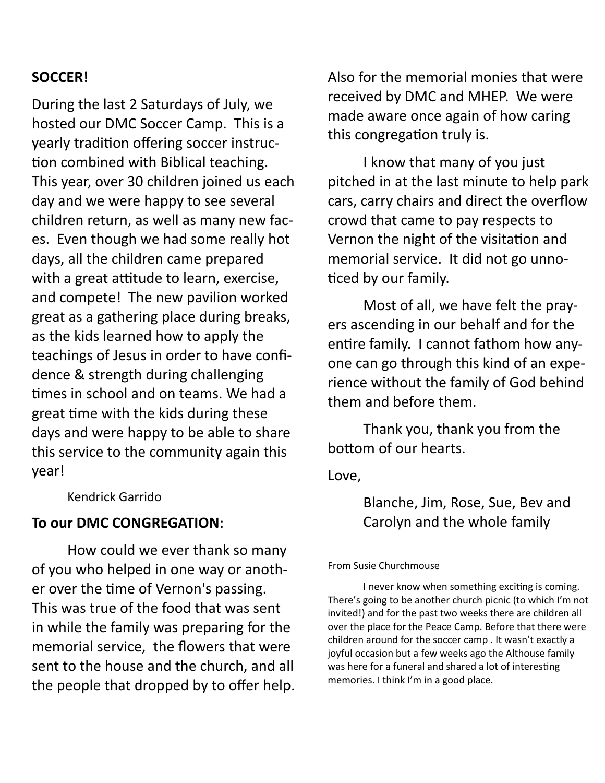## **SOCCER!**

During the last 2 Saturdays of July, we hosted our DMC Soccer Camp. This is a yearly tradition offering soccer instruction combined with Biblical teaching. This year, over 30 children joined us each day and we were happy to see several children return, as well as many new faces. Even though we had some really hot days, all the children came prepared with a great attitude to learn, exercise, and compete! The new pavilion worked great as a gathering place during breaks, as the kids learned how to apply the teachings of Jesus in order to have confidence & strength during challenging times in school and on teams. We had a great time with the kids during these days and were happy to be able to share this service to the community again this year!

Kendrick Garrido

## **To our DMC CONGREGATION**:

How could we ever thank so many of you who helped in one way or another over the time of Vernon's passing. This was true of the food that was sent in while the family was preparing for the memorial service, the flowers that were sent to the house and the church, and all the people that dropped by to offer help. Also for the memorial monies that were received by DMC and MHEP. We were made aware once again of how caring this congregation truly is.

I know that many of you just pitched in at the last minute to help park cars, carry chairs and direct the overflow crowd that came to pay respects to Vernon the night of the visitation and memorial service. It did not go unnoticed by our family.

Most of all, we have felt the prayers ascending in our behalf and for the entire family. I cannot fathom how anyone can go through this kind of an experience without the family of God behind them and before them.

Thank you, thank you from the bottom of our hearts.

Love,

# Blanche, Jim, Rose, Sue, Bev and Carolyn and the whole family

#### From Susie Churchmouse

I never know when something exciting is coming. There's going to be another church picnic (to which I'm not invited!) and for the past two weeks there are children all over the place for the Peace Camp. Before that there were children around for the soccer camp . It wasn't exactly a joyful occasion but a few weeks ago the Althouse family was here for a funeral and shared a lot of interesting memories. I think I'm in a good place.